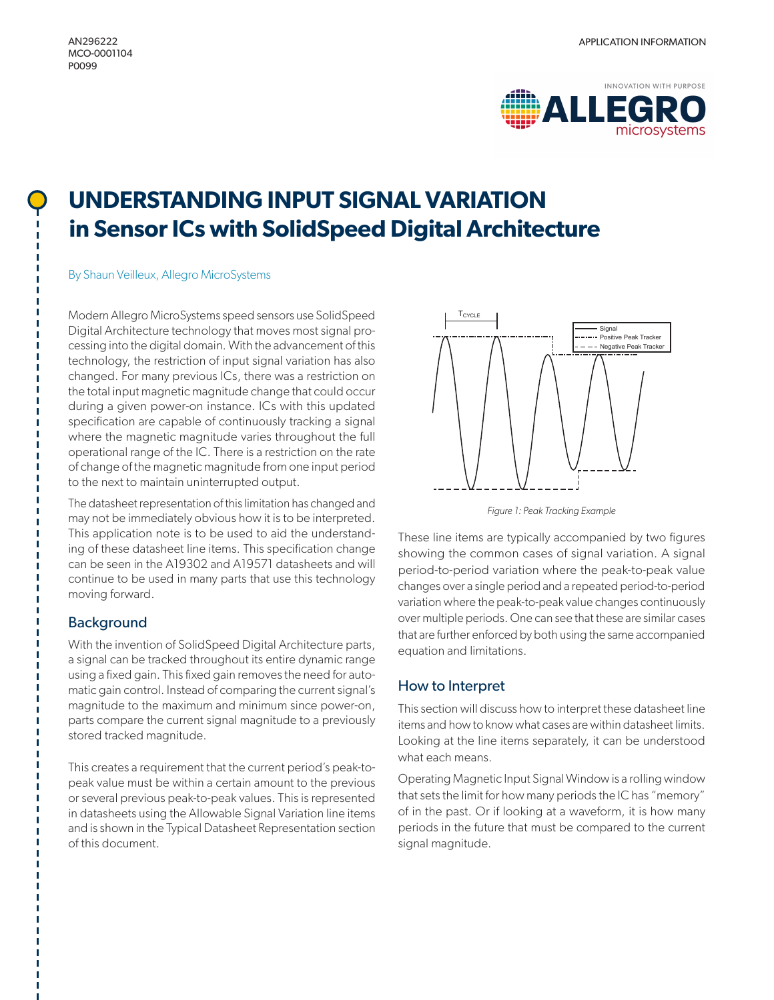

# **UNDERSTANDING INPUT SIGNAL VARIATION in Sensor ICs with SolidSpeed Digital Architecture**

## By Shaun Veilleux, Allegro MicroSystems

Modern Allegro MicroSystems speed sensors use SolidSpeed Digital Architecture technology that moves most signal processing into the digital domain. With the advancement of this technology, the restriction of input signal variation has also changed. For many previous ICs, there was a restriction on the total input magnetic magnitude change that could occur during a given power-on instance. ICs with this updated specification are capable of continuously tracking a signal where the magnetic magnitude varies throughout the full operational range of the IC. There is a restriction on the rate of change of the magnetic magnitude from one input period to the next to maintain uninterrupted output.

The datasheet representation of this limitation has changed and may not be immediately obvious how it is to be interpreted. This application note is to be used to aid the understanding of these datasheet line items. This specification change can be seen in the A19302 and A19571 datasheets and will continue to be used in many parts that use this technology moving forward.

# Background

With the invention of SolidSpeed Digital Architecture parts, a signal can be tracked throughout its entire dynamic range using a fixed gain. This fixed gain removes the need for automatic gain control. Instead of comparing the current signal's magnitude to the maximum and minimum since power-on, parts compare the current signal magnitude to a previously stored tracked magnitude.

This creates a requirement that the current period's peak-topeak value must be within a certain amount to the previous or several previous peak-to-peak values. This is represented in datasheets using the Allowable Signal Variation line items and is shown in the Typical Datasheet Representation section of this document.



*Figure 1: Peak Tracking Example*

These line items are typically accompanied by two figures showing the common cases of signal variation. A signal period-to-period variation where the peak-to-peak value changes over a single period and a repeated period-to-period variation where the peak-to-peak value changes continuously over multiple periods. One can see that these are similar cases that are further enforced by both using the same accompanied equation and limitations.

# How to Interpret

This section will discuss how to interpret these datasheet line items and how to know what cases are within datasheet limits. Looking at the line items separately, it can be understood what each means.

Operating Magnetic Input Signal Window is a rolling window that sets the limit for how many periods the IC has "memory" of in the past. Or if looking at a waveform, it is how many periods in the future that must be compared to the current signal magnitude.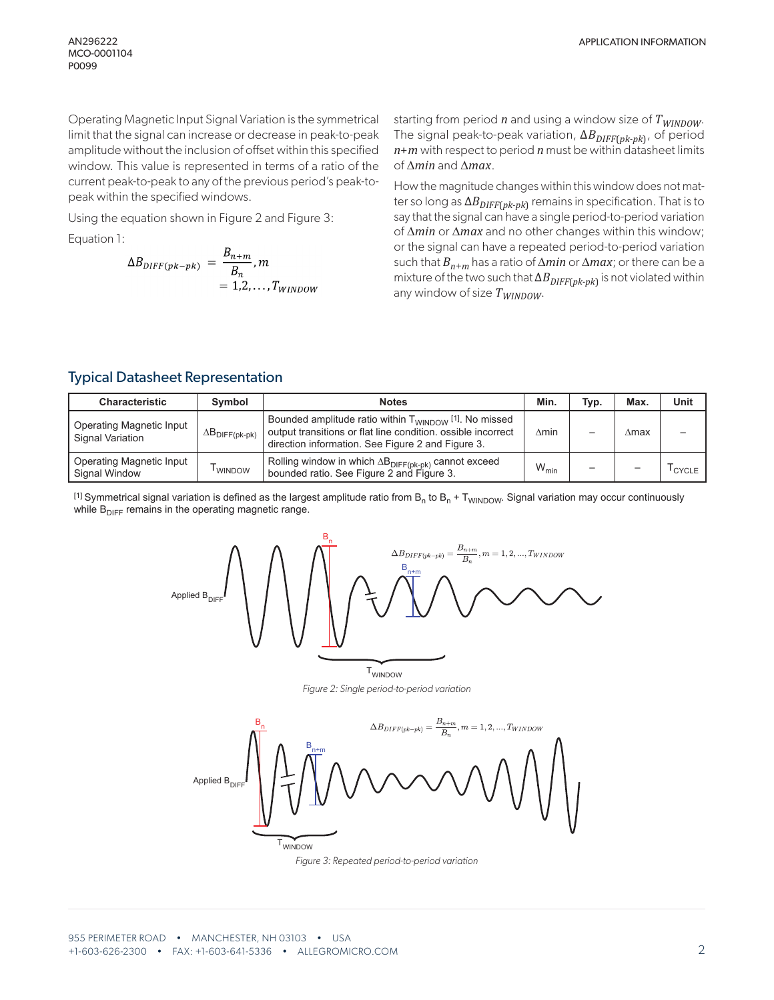Operating Magnetic Input Signal Variation is the symmetrical limit that the signal can increase or decrease in peak-to-peak amplitude without the inclusion of offset within this specified window. This value is represented in terms of a ratio of the current peak-to-peak to any of the previous period's peak-topeak within the specified windows.

Using the equation shown in Figure 2 and Figure 3:

Equation 1:

$$
\Delta B_{DIFF(pk-pk)} = \frac{B_{n+m}}{B_n}, m
$$
  
= 1,2,...,T<sub>WINDOW</sub>

starting from period *n* and using a window size of  $T_{WINDOW}$ . The signal peak-to-peak variation, ΔB<sub>DIFF(pk-pk)</sub>, of period *n*+*m* with respect to period *n* must be within datasheet limits of ∆*min* and ∆*max*.

How the magnitude changes within this window does not matter so long as Δ*B<sub>DIFF(pk-pk*)</sub> remains in specification. That is to say that the signal can have a single period-to-period variation of ∆*min* or ∆*max* and no other changes within this window; or the signal can have a repeated period-to-period variation such that *Bn*<sup>+</sup>*m* has a ratio of ∆*min* or ∆*max*; or there can be a mixture of the two such that  $\Delta B_{DIFF(pk-pk)}$  is not violated within any window of size  $T_{\text{WINDOW}}$ .

## Typical Datasheet Representation

| <b>Characteristic</b>                                      | Symbol                          | <b>Notes</b>                                                                                                                                                                                       | Min.             | Typ. | <b>Max</b> | Unit  |
|------------------------------------------------------------|---------------------------------|----------------------------------------------------------------------------------------------------------------------------------------------------------------------------------------------------|------------------|------|------------|-------|
| <b>Operating Magnetic Input</b><br><b>Signal Variation</b> | $\Delta B_{\text{DIFF}(pk-pk)}$ | Bounded amplitude ratio within $T_{\text{WINDOW}}$ <sup>[1]</sup> . No missed<br>output transitions or flat line condition, ossible incorrect<br>direction information. See Figure 2 and Figure 3. | $\Delta$ min     |      | ∆max       |       |
| <b>Operating Magnetic Input</b><br>Signal Window           | I WINDOW                        | , Rolling window in which $\Delta \mathsf{B}_{\mathsf{DIFF}(\mathsf{pk}\text{-}\mathsf{pk})}$ cannot exceed<br>bounded ratio. See Figure 2 and Figure 3.                                           | $W_{\text{min}}$ |      |            | CYCLE |

<sup>[1]</sup> Symmetrical signal variation is defined as the largest amplitude ratio from  $B_n$  to  $B_n$  + T<sub>WINDOW</sub>. Signal variation may occur continuously while  $B_{\text{DIEF}}$  remains in the operating magnetic range.



*Figure 3: Repeated period-to-period variation*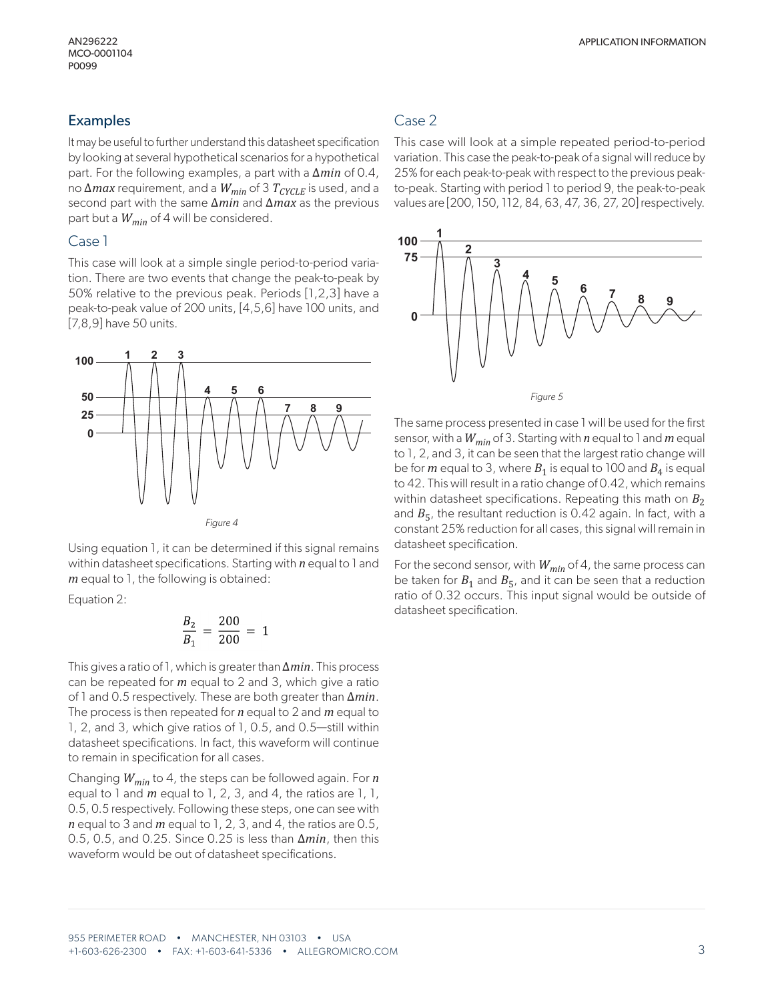## Examples

It may be useful to further understand this datasheet specification by looking at several hypothetical scenarios for a hypothetical part. For the following examples, a part with a ∆*min* of 0.4, no Δ*max* requirement, and a  $W_{min}$  of 3  $T_{CYCLE}$  is used, and a second part with the same ∆*min* and ∆*max* as the previous part but a *Wmin* of 4 will be considered.

### Case 1

This case will look at a simple single period-to-period variation. There are two events that change the peak-to-peak by 50% relative to the previous peak. Periods [1,2,3] have a peak-to-peak value of 200 units, [4,5,6] have 100 units, and [7,8,9] have 50 units.



Using equation 1, it can be determined if this signal remains within datasheet specifications. Starting with *n* equal to 1 and *m* equal to 1, the following is obtained:

Equation 2:

$$
\frac{B_2}{B_1} = \frac{200}{200} = 1
$$

This gives a ratio of 1, which is greater than ∆*min*. This process can be repeated for *m* equal to 2 and 3, which give a ratio of 1 and 0.5 respectively. These are both greater than ∆*min*. The process is then repeated for *n* equal to 2 and *m* equal to 1, 2, and 3, which give ratios of 1, 0.5, and 0.5—still within datasheet specifications. In fact, this waveform will continue to remain in specification for all cases.

Changing *Wmin* to 4, the steps can be followed again. For *n*  equal to 1 and *m* equal to 1, 2, 3, and 4, the ratios are 1, 1, 0.5, 0.5 respectively. Following these steps, one can see with *n* equal to 3 and *m* equal to 1, 2, 3, and 4, the ratios are 0.5, 0.5, 0.5, and 0.25. Since 0.25 is less than ∆*min*, then this waveform would be out of datasheet specifications.

# Case 2

This case will look at a simple repeated period-to-period variation. This case the peak-to-peak of a signal will reduce by 25% for each peak-to-peak with respect to the previous peakto-peak. Starting with period 1 to period 9, the peak-to-peak values are [200, 150, 112, 84, 63, 47, 36, 27, 20] respectively.



The same process presented in case 1 will be used for the first sensor, with a *Wmin* of 3. Starting with *n* equal to 1 and *m* equal to 1, 2, and 3, it can be seen that the largest ratio change will be for *m* equal to 3, where  $B_1$  is equal to 100 and  $B_4$  is equal to 42. This will result in a ratio change of 0.42, which remains within datasheet specifications. Repeating this math on  $B_2$ and  $B_5$ , the resultant reduction is 0.42 again. In fact, with a constant 25% reduction for all cases, this signal will remain in datasheet specification.

For the second sensor, with  $W_{min}$  of 4, the same process can be taken for  $B_1$  and  $B_5$ , and it can be seen that a reduction ratio of 0.32 occurs. This input signal would be outside of datasheet specification.